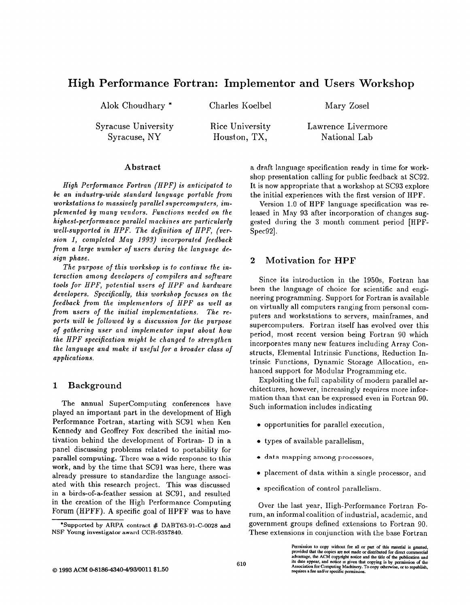# High Performance Fortran: Implementor and Users Workshop

Alok Choudhary \* Charles Koelbel Mary Zosel

Syracuse, NY Houston, TX, National Lab

Syracuse University Rice University Lawrence Livermore

#### Abstract

High Performance Foriran (HPF) is anticipated to be an industry-wide standard language portable from workstations to massively parallel supercomputers, implemented by many vendors. Functions needed on the highest-performance parallel machines are particularly well-supported in HPF. The definition of HPF, (ver $sion$  1, completed May 1993) incorporated feedback from a large number of users during the language design phase.

The purpose of this workshop is to continue the interaction among developers of compilers and software tools for HPF, potential users of HPF and hardware developers. Specifically, this workshop focuses on the feedback from the implementors of HPF as well as from users of the initial implementations. The reports will be followed by a discussion for the purpose of gathering user and implementor input about how the HPF specification might be changed to strengthen the language and make it useful for a broader class of applications.

## 1 Background

The annual SuperComputing conferences have played an important part in the development of High Performance Fortran, starting with SC91 when Ken Kennedy and Geoffrey Fox described the initial motivation behind the development of Fortran- D in a panel discussing problems related to portability for parallel computing. There waa a wide response to this work, and by the time that SC91 was here, there was already pressure to standardize the language associated with this research project. This was discussed in a birds-of-a-feather session at SC91, and resulted in the creation of the High Performance Computing Forum (HPFF). A specific goal of HPFF was to have

\*Supported by ARPA contract # DA BT63-91-C-002S and NSF Young investigator award CCR-9357840.

a draft language specification ready in time for workshop presentation calling for public feedback at SC92. It is now appropriate that a workshop at SC93 explore the initial experiences with the first version of HPF.

Version 1.0 of HPF language specification was released in May 93 after incorporation of changes suggested during the 3 month comment period [HPF-Spec92].

## 2 Motivation for HPF

Since its introduction in the 1950s, Fortran has been the language of choice for scientific and engineering programming. Support for Fortran is available on virtually all computers ranging from personal computers and workstations to servers, mainframes, and supercomputers. Fortran itself has evolved over this period, most recent version being Fortran 90 which incorporates many new features including Array Constructs, Elemental Intrinsic Functions, Reduction Intrinsic Functions, Dynamic Storage Allocation, enhanced support for Modular Programming etc.

Exploiting the full capability of modern parallel architectures, however, increasingly requires more information than that can be expressed even in Fortran 90. Such information includes indicating

- opportunities for parallel execution,
- types of available parallelism,
- data mapping among processors,
- placement of data within a single processor, and
- specification of control parallelism.

Over the last year, High-Performance Fortran Forum, an informal coalition of industrial, academic, and government groups defined extensions to Fortran 90. These extensions in conjunction with the base Fortran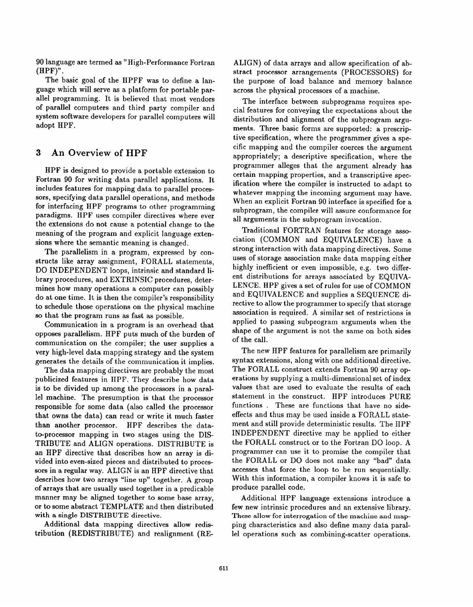90 language are termed as "High-Performance Fortran (HPF)".

The basic goal of the HPFF was to define a language which will serve as a platform for portable parallel programming. It is believed that most vendors of parallel computers and third party compiler and system software developers for parallel computers will adopt HPF.

## 3 An Overview of HPF

HPF is designed to provide a portable extension to Fortran 90 for writing data parallel applications. It includes features for mapping data to parallel processors, specifying data parallel operations, and methods for interfacing HPF programs to other programming paradigms. HPF uses compiler directives where ever the extensions do not cause a potential change to the meaning of the program and explicit language extensions where the semantic meaning is changed.

The parallelism in a program, expressed by constructs like array assignment, FORALL statements, DO INDEPENDENT loops, intrinsic and standard library procedures, and EXTRINSIC procedures, determines how many operations a computer can possibly do at one time. It is then the compiler's responsibility to schedule those operations on the physical machine so that the program runs as fast as possible.

Communication in a program is an overhead that opposes parallelism. HPF puts much of the burden of communication on the compiler; the user supplies a very high-level data mapping strategy and the system generates the details of the communication it implies.

The data mapping directives are probably the most publicized features in HPF. They describe how data is to be divided up among the processors in a parallel machine. The presumption is that the processor responsible for some data (also called the processor that owns the data) can read or write it much faster than another processor. HPF describes the datato-processor mapping in two stages using the DIS-TRIBUTE and ALIGN operations. DISTRIBUTE is an HPF directive that describes how an array is divided into even-sized pieces and distributed to processors in a regular way. ALIGN is an HPF directive that describes how two arrays "line up" together. A group of arrays that are usually used together in a predicable manner may be aligned together to some base array, or to some abstract TEMPLATE and then distributed with a single DISTRIBUTE directive.

Additional data mapping directives allow redistribution (REDISTRIBUTE) and realignment (RE- ALIGN) of data arrays and allow specification of abstract processor arrangements (PROCESSORS) for the purpose of load balance and memory balance across the physical processors of a machine.

The interface between subprograms requires special features for conveying the expectations about the distribution and alignment of the subprogram arguments. Three basic forms are supported: a prescriptive specification, where the programmer gives a specific mapping and the compiler coerces the argument appropriately; a descriptive specification, where the programmer alleges that the argument already has certain mapping properties, and a transcriptive specification where the compiler is instructed to adapt to whatever mapping the incoming argument may have. When an explicit Fortran 90 interface is specified for a subprogram, the compiler will assure conformance for all arguments in the subprogram invocation.

Traditional FORTRAN features for storage association (COMMON and EQUIVALENCE) have a strong interaction with data mapping directives. Some uses of storage association make data mapping either highly inefficient or even impossible, e.g. two different distributions for arrays associated by EQUIVA-LENCE. HPF gives a set of rules for use of COMMON and EQUIVALENCE and supplies a SEQUENCE directive to allow the programmer to specify that storage association is required. A similar set of restrictions is applied to passing subprogram arguments when the shape of the argument is not the same on both sides of the call.

The new HPF features for parallelism are primarily syntax extensions, along with one additional directive. The FORALL construct extends Fortran 90 array operations by supplying a multi-dimensional set of index values that are used to evaluate the results of each statement in the construct. HPF introduces PURE functions . These are functions that have no sideeffects and thus may be used inside a FORALL statement and still provide deterministic results. The HPF INDEPENDENT directive may be applied to either the FORALL construct or to the Fortran DO loop. A programmer can use it to promise the compiler that the FORALL or DO does not make any "bad" data accesses that force the loop to be run sequentially. With this information, a compiler knows it is safe to produce parallel code.

Additional HPF language extensions introduce a few new intrinsic procedures and an extensive library. These allow for interrogation of the machine and mapping characteristics and also define many data parallel operations such as combining-scatter operations.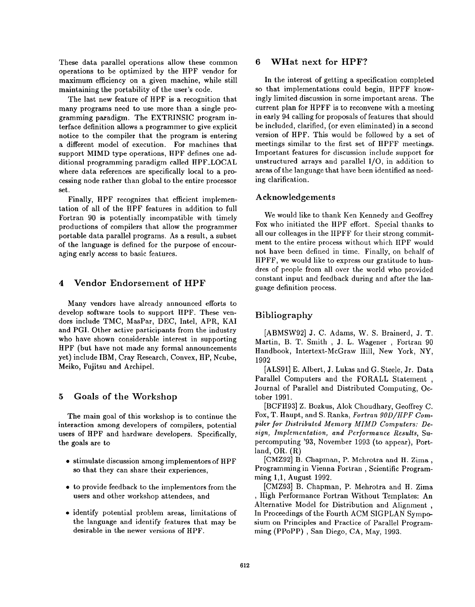These data parallel operations allow these common operations to be optimized by the HPF vendor for maximum efficiency on a given machine, while still maintaining the portability of the user's code.

The last new feature of HPF is a recognition that many programs need to use more than a single programming paradigm. The EXTRINSIC program interface definition allows a programmer to give explicit notice to the compiler that the program is entering a different model of execution. For machines that support MIMD type operations, HPF defines one additional programming paradigm called HPF.LOCAL where data references are specifically local to a processing node rather than global to the entire processor set.

Finally, HPF recognizes that efficient implementation of all of the HPF features in addition to full Fortran 90 is potentially incompatible with timely productions of compilers that allow the programmer portable data parallel programs. As a result, a subset of the language is defined for the purpose of encouraging early access to basic features.

#### 4 Vendor Endorsement of HPF

Many vendors have already announced efforts to develop software tools to support HPF. These vendors include TMC, MasPar, DEC, Intel, APR, KA1 and PGI. Other active participants from the industry who have shown considerable interest in supporting HPF (but have not made any formal announcements yet) include IBM, Cray Research, Convex, HP, Ncube, Meiko, Fujitsu and Archipel.

## 5 Goals of the Workshop

The main goal of this workshop is to continue the interaction among developers of compilers, potential users of HPF and hardware developers. Specifically, the goals are to

- $\bullet$  stimulate discussion among implementors of HP so that they can share their experiences,
- $\bullet\,$  to provide feedback to the implementors from the users and other workshop attendees, and
- $\bullet$  identify potential problem areas, limitations of the language and identify features that may be desirable in the newer versions of HPF.

## 6 WHat next for HPF?

In the interest of getting a specification completed so that implementations could begin, HPFF knowingly limited discussion in some important areas. The current plan for HPFF is to reconvene with a meeting in early 94 calling for proposals of features that should be included, clarified, (or even eliminated) in a second version of HPF. This would be followed by a set of meetings similar to the first set of HPFF meetings. Important features for discussion include support for unstructured arrays and parallel 1/0, in addition to areas of the language that have been identified as needing clarification.

## Acknowledgements

We would like to thank Ken Kennedy and Geoffrey Fox who initiated the HPF effort. Special thanks to all our colleages in the HPFF for their strong commitment to the entire process without which HPF would not have been defined in time. Finally, on behalf of HPFF, we would like to express our gratitude to hundres of people from all over the world who provided constant input and feedback during and after the language definition process.

## Bibliography

[ABMSW92] J. C. Adams, W. S. Brainerd, J. T. Martin, B. T. Smith , J. L. Wagener , Fortran 90 Handbook, Intertext-McGraw Hill, New York, NY, 1992

[ALS91] E. Albert, J. Lukas and G. Steele, Jr. Data Parallel Computers and the FORALL Statement , Journal of Parallel and Distributed Computing, October 1991.

[BCFH93] Z. Bozkus, Alok Choudhary, Geoffrey C. Fox, T. Haupt, and S. Ranka, Fortran 90D/HPF Compiler for Distributed Memory MIMD Computers: Design, Implementation, and Performance Results, Supercomputing '93, November 1993 (to appear), Portland, OR. (R)

[CMZ92] B. Chapman, P. Mehrotra and H. Zima , Programming in Vienna Fortran , Scientific Programming 1,1, August 1992.

[CMZ93] B. Chapman, P. Mehrotra and H. Zima , High Performance Fortran Without Templates: An Alternative Model for Distribution and Alignment, In Proceedings of the Fourth ACM SIGPLAN Symposium on Principles and Practice of Parallel Programming (PPoPP) , San Diego, CA, May, 1993.